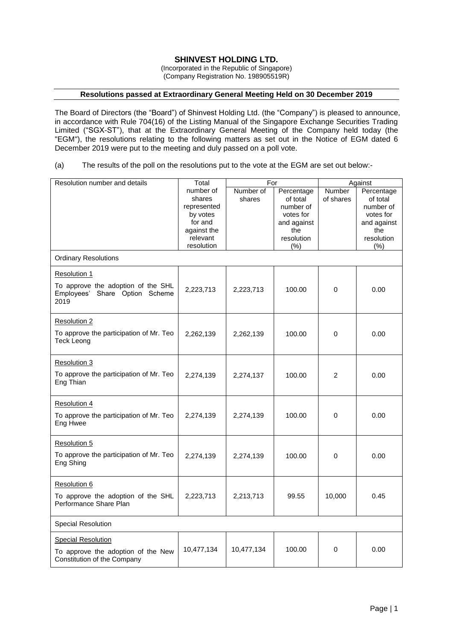## **SHINVEST HOLDING LTD.**

(Incorporated in the Republic of Singapore) (Company Registration No. 198905519R)

## **Resolutions passed at Extraordinary General Meeting Held on 30 December 2019**

The Board of Directors (the "Board") of Shinvest Holding Ltd. (the "Company") is pleased to announce, in accordance with Rule 704(16) of the Listing Manual of the Singapore Exchange Securities Trading Limited ("SGX-ST"), that at the Extraordinary General Meeting of the Company held today (the "EGM"), the resolutions relating to the following matters as set out in the Notice of EGM dated 6 December 2019 were put to the meeting and duly passed on a poll vote.

## (a) The results of the poll on the resolutions put to the vote at the EGM are set out below:-

| Resolution number and details                                | Total       | For        |             | Against     |             |
|--------------------------------------------------------------|-------------|------------|-------------|-------------|-------------|
|                                                              | number of   | Number of  | Percentage  | Number      | Percentage  |
|                                                              | shares      | shares     | of total    | of shares   | of total    |
|                                                              | represented |            | number of   |             | number of   |
|                                                              | by votes    |            | votes for   |             | votes for   |
|                                                              | for and     |            | and against |             | and against |
|                                                              | against the |            | the         |             | the         |
|                                                              | relevant    |            | resolution  |             | resolution  |
|                                                              | resolution  |            |             |             |             |
|                                                              |             |            | (%)         |             | (% )        |
| <b>Ordinary Resolutions</b>                                  |             |            |             |             |             |
| <b>Resolution 1</b>                                          |             |            |             |             |             |
| To approve the adoption of the SHL                           | 2,223,713   | 2,223,713  | 100.00      | 0           | 0.00        |
| Share Option Scheme<br>Employees'                            |             |            |             |             |             |
| 2019                                                         |             |            |             |             |             |
| <b>Resolution 2</b>                                          |             |            |             |             |             |
|                                                              |             |            |             |             |             |
| To approve the participation of Mr. Teo<br><b>Teck Leong</b> | 2,262,139   | 2,262,139  | 100.00      | 0           | 0.00        |
|                                                              |             |            |             |             |             |
|                                                              |             |            |             |             |             |
| <b>Resolution 3</b>                                          |             |            |             |             |             |
| To approve the participation of Mr. Teo                      | 2,274,139   | 2,274,137  | 100.00      | 2           | 0.00        |
| Eng Thian                                                    |             |            |             |             |             |
|                                                              |             |            |             |             |             |
| Resolution 4                                                 |             |            |             |             |             |
| To approve the participation of Mr. Teo                      | 2,274,139   | 2,274,139  | 100.00      | 0           | 0.00        |
| Eng Hwee                                                     |             |            |             |             |             |
|                                                              |             |            |             |             |             |
| Resolution 5                                                 |             |            |             |             |             |
| To approve the participation of Mr. Teo                      |             |            |             |             |             |
| Eng Shing                                                    | 2,274,139   | 2,274,139  | 100.00      | $\mathbf 0$ | 0.00        |
|                                                              |             |            |             |             |             |
| Resolution 6                                                 |             |            |             |             |             |
|                                                              |             |            |             |             |             |
| To approve the adoption of the SHL                           | 2,223,713   | 2,213,713  | 99.55       | 10,000      | 0.45        |
| Performance Share Plan                                       |             |            |             |             |             |
| <b>Special Resolution</b>                                    |             |            |             |             |             |
|                                                              |             |            |             |             |             |
| <b>Special Resolution</b>                                    |             |            |             |             |             |
| To approve the adoption of the New                           | 10,477,134  | 10,477,134 | 100.00      | 0           | 0.00        |
| Constitution of the Company                                  |             |            |             |             |             |
|                                                              |             |            |             |             |             |